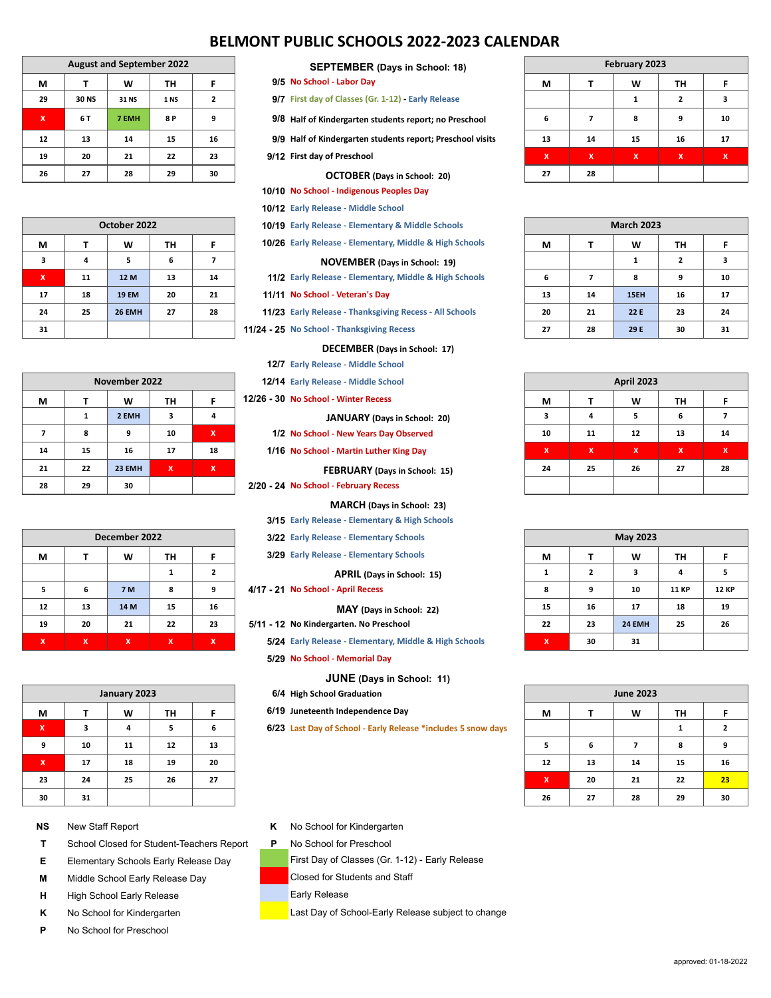# **BELMONT PUBLIC SCHOOLS 2022-2023 CALENDAR**

| <b>August and September 2022</b> |       |       |      |                |
|----------------------------------|-------|-------|------|----------------|
| м                                |       | W     | ΤН   | F              |
| 29                               | 30 NS | 31 NS | 1 NS | $\overline{2}$ |
| x                                | 6 T   | 7 EMH | 8 P  | 9              |
| 12                               | 13    | 14    | 15   | 16             |
| 19                               | 20    | 21    | 22   | 23             |
| 26                               | 27    | 28    | 29   | 30             |

| October 2022              |    |               |    |    |
|---------------------------|----|---------------|----|----|
| М                         | т  | W             | TН | F  |
| 3                         | 4  | 5             | 6  |    |
| $\boldsymbol{\mathsf{x}}$ | 11 | 12 M          | 13 | 14 |
| 17                        | 18 | <b>19 EM</b>  | 20 | 21 |
| 24                        | 25 | <b>26 EMH</b> | 27 | 28 |
| 31                        |    |               |    |    |

|    | November 2022 |        |    |     |
|----|---------------|--------|----|-----|
| М  |               | w      | TH | F   |
|    |               | 2 EMH  | 3  | 4   |
|    | 8             | 9      | 10 | ΙX, |
| 14 | 15            | 16     | 17 | 18  |
| 21 | 22            | 23 EMH | X  | x   |
| 28 | 29            | 30     |    |     |

| December 2022 |              |            |    |    |  |
|---------------|--------------|------------|----|----|--|
| М             | W<br>TH<br>F |            |    |    |  |
|               |              |            |    | 2  |  |
| 5             | 6            | <b>7 M</b> | 8  | 9  |  |
| 12            | 13           | 14 M       | 15 | 16 |  |
| 19            | 20           | 21         | 22 | 23 |  |
| X             | X            | x          | X  | X  |  |

| January 2023              |    |    |    |    |
|---------------------------|----|----|----|----|
| М                         |    | W  | TH | F  |
| $\boldsymbol{\mathsf{x}}$ | з  | 4  | 5  | 6  |
| 9                         | 10 | 11 | 12 | 13 |
| $\boldsymbol{\mathsf{x}}$ | 17 | 18 | 19 | 20 |
| 23                        | 24 | 25 | 26 | 27 |
| 30                        | 31 |    |    |    |

## **NS** New Staff Report

- **T** School Closed for Student-Teachers Report
- **E** Elementary Schools Early Release Day
- **M** Middle School Early Release Day
- **H** High School Early Release
- **K** No School for Kindergarten
- **P** No School for Preschool

**SEPTEMBER (Days in School: 18)**

- **9/5 No School Labor Day**
- **9/7 First day of Classes (Gr. 1-12) Early Release**
- **9/8 Half of Kindergarten students report; no Preschool**
- **9/9 Half of Kindergarten students report; Preschool visits**
- **9/12 First day of Preschool**

#### **OCTOBER (Days in School: 20)**

**10/10 No School - Indigenous Peoples Day**

**10/12 Early Release - Middle School**

**10/19 Early Release - Elementary & Middle Schools**

**10/26 Early Release - Elementary, Middle & High Schools**

#### **NOVEMBER (Days in School: 19)**

**11/2 Early Release - Elementary, Middle & High Schools**

**11/11 No School - Veteran's Day**

**11/23 Early Release - Thanksgiving Recess - All Schools**

**11/24 - 25 No School - Thanksgiving Recess**

**DECEMBER (Days in School: 17) 12/7 Early Release - Middle School**

- **12/14 Early Release Middle School**
- 
- **12/26 30 No School Winter Recess**

**JANUARY (Days in School: 20)**

- **1/2 No School New Years Day Observed**
- **1/16 No School Martin Luther King Day**

**FEBRUARY (Days in School: 15)**

**2/20 - 24 No School - February Recess**

**MARCH (Days in School: 23)**

**3/15 Early Release - Elementary & High Schools**

- **3/22 Early Release Elementary Schools**
- **3/29 Early Release Elementary Schools**

**APRIL (Days in School: 15)**

**4/17 - 21 No School - April Recess**

## **MAY (Days in School: 22)**

**5/11 - 12 No Kindergarten. No Preschool**

**5/24 Early Release - Elementary, Middle & High Schools**

**5/29 No School - Memorial Day**

**JUNE (Days in School: 11)**

- **6/4 High School Graduation**
- **6/19 Juneteenth Independence Day**

**6/23 Last Day of School - Early Release \*includes 5 snow days**

| February 2023 |    |    |                |    |
|---------------|----|----|----------------|----|
| М             |    | W  | TН             | F  |
|               |    |    | $\overline{2}$ | з  |
| 6             |    | 8  | 9              | 10 |
| 13            | 14 | 15 | 16             | 17 |
| X             | X  | x  | x              | x  |
| 27            | 28 |    |                |    |

| <b>March 2023</b> |    |      |                |    |
|-------------------|----|------|----------------|----|
| М                 |    | W    | TН             | F  |
|                   |    | 1    | $\overline{2}$ | 3  |
| 6                 | 7  | 8    | 9              | 10 |
| 13                | 14 | 15EH | 16             | 17 |
| 20                | 21 | 22 E | 23             | 24 |
| 27                | 28 | 29 E | 30             | 31 |

| <b>April 2023</b>         |    |                           |    |                           |
|---------------------------|----|---------------------------|----|---------------------------|
| М                         |    | W                         | TH | F                         |
| $\overline{\mathbf{3}}$   | 4  | 5                         | 6  | 7                         |
| 10                        | 11 | 12                        | 13 | 14                        |
| $\boldsymbol{\mathsf{x}}$ | X  | $\boldsymbol{\mathsf{x}}$ | x  | $\boldsymbol{\mathsf{x}}$ |
| 24                        | 25 | 26                        | 27 | 28                        |
|                           |    |                           |    |                           |

| May 2023                  |    |        |              |              |
|---------------------------|----|--------|--------------|--------------|
| М                         |    | W      | TН           | F            |
|                           | 2  | 3      | 4            | 5            |
| 8                         | 9  | 10     | <b>11 KP</b> | <b>12 KP</b> |
| 15                        | 16 | 17     | 18           | 19           |
| 22                        | 23 | 24 EMH | 25           | 26           |
| $\boldsymbol{\mathsf{x}}$ | 30 | 31     |              |              |

| <b>June 2023</b>          |    |    |    |                |
|---------------------------|----|----|----|----------------|
| М                         |    | w  | TН | F              |
|                           |    |    | 1  | $\overline{2}$ |
| 5                         | 6  | 7  | 8  | 9              |
| 12                        | 13 | 14 | 15 | 16             |
| $\boldsymbol{\mathsf{x}}$ | 20 | 21 | 22 | 23             |
| 26                        | 27 | 28 | 29 | 30             |

## **K** No School for Kindergarten

**P** No School for Preschool

First Day of Classes (Gr. 1-12) - Early Release

Closed for Students and Staff

Early Release

Last Day of School-Early Release subject to change